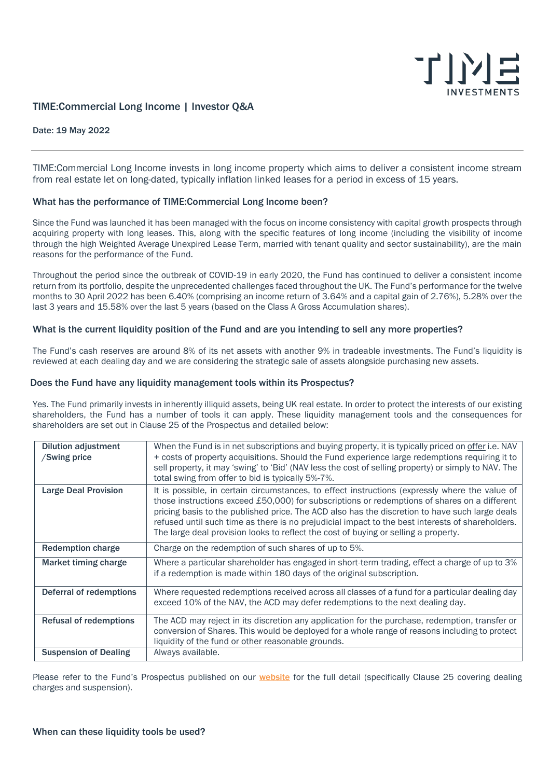

# TIME:Commercial Long Income | Investor Q&A

#### Date: 19 May 2022

TIME:Commercial Long Income invests in long income property which aims to deliver a consistent income stream from real estate let on long-dated, typically inflation linked leases for a period in excess of 15 years.

# What has the performance of TIME:Commercial Long Income been?

Since the Fund was launched it has been managed with the focus on income consistency with capital growth prospects through acquiring property with long leases. This, along with the specific features of long income (including the visibility of income through the high Weighted Average Unexpired Lease Term, married with tenant quality and sector sustainability), are the main reasons for the performance of the Fund.

Throughout the period since the outbreak of COVID-19 in early 2020, the Fund has continued to deliver a consistent income return from its portfolio, despite the unprecedented challenges faced throughout the UK. The Fund's performance for the twelve months to 30 April 2022 has been 6.40% (comprising an income return of 3.64% and a capital gain of 2.76%), 5.28% over the last 3 years and 15.58% over the last 5 years (based on the Class A Gross Accumulation shares).

# What is the current liquidity position of the Fund and are you intending to sell any more properties?

The Fund's cash reserves are around 8% of its net assets with another 9% in tradeable investments. The Fund's liquidity is reviewed at each dealing day and we are considering the strategic sale of assets alongside purchasing new assets.

#### Does the Fund have any liquidity management tools within its Prospectus?

Yes. The Fund primarily invests in inherently illiquid assets, being UK real estate. In order to protect the interests of our existing shareholders, the Fund has a number of tools it can apply. These liquidity management tools and the consequences for shareholders are set out in Clause 25 of the Prospectus and detailed below:

| <b>Dilution adjustment</b><br>/Swing price | When the Fund is in net subscriptions and buying property, it is typically priced on offer i.e. NAV<br>+ costs of property acquisitions. Should the Fund experience large redemptions requiring it to<br>sell property, it may 'swing' to 'Bid' (NAV less the cost of selling property) or simply to NAV. The<br>total swing from offer to bid is typically 5%-7%.                                                                                                                          |
|--------------------------------------------|---------------------------------------------------------------------------------------------------------------------------------------------------------------------------------------------------------------------------------------------------------------------------------------------------------------------------------------------------------------------------------------------------------------------------------------------------------------------------------------------|
| <b>Large Deal Provision</b>                | It is possible, in certain circumstances, to effect instructions (expressly where the value of<br>those instructions exceed £50,000) for subscriptions or redemptions of shares on a different<br>pricing basis to the published price. The ACD also has the discretion to have such large deals<br>refused until such time as there is no prejudicial impact to the best interests of shareholders.<br>The large deal provision looks to reflect the cost of buying or selling a property. |
| <b>Redemption charge</b>                   | Charge on the redemption of such shares of up to 5%.                                                                                                                                                                                                                                                                                                                                                                                                                                        |
| Market timing charge                       | Where a particular shareholder has engaged in short-term trading, effect a charge of up to 3%<br>if a redemption is made within 180 days of the original subscription.                                                                                                                                                                                                                                                                                                                      |
| Deferral of redemptions                    | Where requested redemptions received across all classes of a fund for a particular dealing day<br>exceed 10% of the NAV, the ACD may defer redemptions to the next dealing day.                                                                                                                                                                                                                                                                                                             |
| <b>Refusal of redemptions</b>              | The ACD may reject in its discretion any application for the purchase, redemption, transfer or<br>conversion of Shares. This would be deployed for a whole range of reasons including to protect<br>liquidity of the fund or other reasonable grounds.                                                                                                                                                                                                                                      |
| <b>Suspension of Dealing</b>               | Always available.                                                                                                                                                                                                                                                                                                                                                                                                                                                                           |

Please refer to the Fund's Prospectus published on our **[website](https://time-investments.com/document-library/)** for the full detail (specifically Clause 25 covering dealing charges and suspension).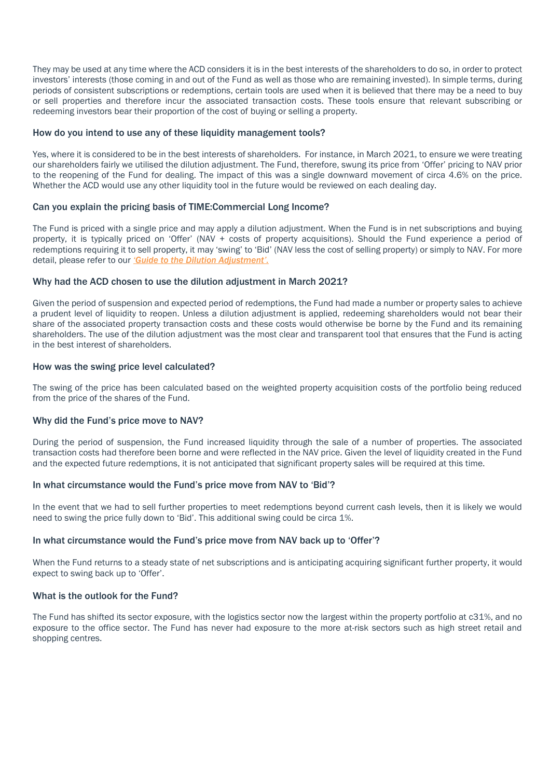They may be used at any time where the ACD considers it is in the best interests of the shareholders to do so, in order to protect investors' interests (those coming in and out of the Fund as well as those who are remaining invested). In simple terms, during periods of consistent subscriptions or redemptions, certain tools are used when it is believed that there may be a need to buy or sell properties and therefore incur the associated transaction costs. These tools ensure that relevant subscribing or redeeming investors bear their proportion of the cost of buying or selling a property.

# How do you intend to use any of these liquidity management tools?

Yes, where it is considered to be in the best interests of shareholders. For instance, in March 2021, to ensure we were treating our shareholders fairly we utilised the dilution adjustment. The Fund, therefore, swung its price from 'Offer' pricing to NAV prior to the reopening of the Fund for dealing. The impact of this was a single downward movement of circa 4.6% on the price. Whether the ACD would use any other liquidity tool in the future would be reviewed on each dealing day.

# Can you explain the pricing basis of TIME:Commercial Long Income?

The Fund is priced with a single price and may apply a dilution adjustment. When the Fund is in net subscriptions and buying property, it is typically priced on 'Offer' (NAV + costs of property acquisitions). Should the Fund experience a period of redemptions requiring it to sell property, it may 'swing' to 'Bid' (NAV less the cost of selling property) or simply to NAV. For more detail, please refer to our *'[Guide to the Dilution Adjustment](https://time-investments.com/vault/files/Dilution-Adjustment.pdf)'.*

# Why had the ACD chosen to use the dilution adjustment in March 2021?

Given the period of suspension and expected period of redemptions, the Fund had made a number or property sales to achieve a prudent level of liquidity to reopen. Unless a dilution adjustment is applied, redeeming shareholders would not bear their share of the associated property transaction costs and these costs would otherwise be borne by the Fund and its remaining shareholders. The use of the dilution adjustment was the most clear and transparent tool that ensures that the Fund is acting in the best interest of shareholders.

# How was the swing price level calculated?

The swing of the price has been calculated based on the weighted property acquisition costs of the portfolio being reduced from the price of the shares of the Fund.

# Why did the Fund's price move to NAV?

During the period of suspension, the Fund increased liquidity through the sale of a number of properties. The associated transaction costs had therefore been borne and were reflected in the NAV price. Given the level of liquidity created in the Fund and the expected future redemptions, it is not anticipated that significant property sales will be required at this time.

#### In what circumstance would the Fund's price move from NAV to 'Bid'?

In the event that we had to sell further properties to meet redemptions beyond current cash levels, then it is likely we would need to swing the price fully down to 'Bid'. This additional swing could be circa 1%.

#### In what circumstance would the Fund's price move from NAV back up to 'Offer'?

When the Fund returns to a steady state of net subscriptions and is anticipating acquiring significant further property, it would expect to swing back up to 'Offer'.

#### What is the outlook for the Fund?

The Fund has shifted its sector exposure, with the logistics sector now the largest within the property portfolio at c31%, and no exposure to the office sector. The Fund has never had exposure to the more at-risk sectors such as high street retail and shopping centres.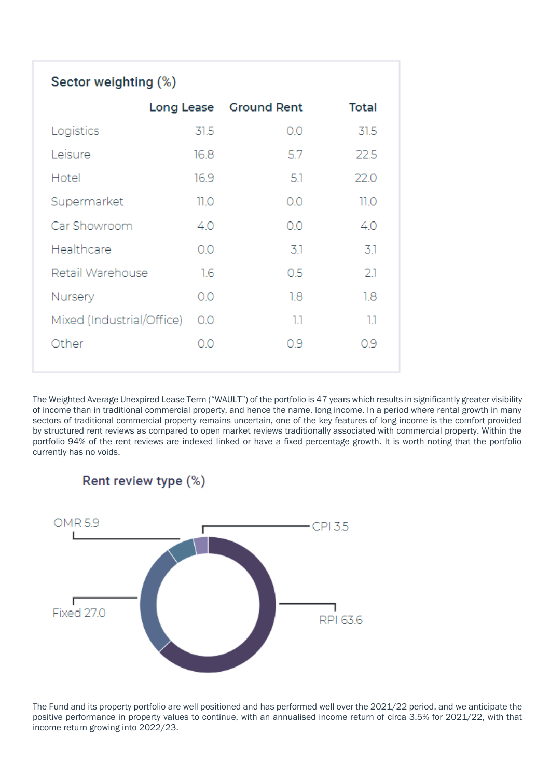| Sector weighting (%)      |      |                        |       |  |
|---------------------------|------|------------------------|-------|--|
|                           |      | Long Lease Ground Rent | Total |  |
| Logistics                 | 31.5 | 0.0                    | 31.5  |  |
| Leisure                   | 16.8 | 5.7                    | 22.5  |  |
| Hotel                     | 16.9 | -5.1                   | 22.0  |  |
| Supermarket               | 11.O | 0.0                    | 11.0  |  |
| Car Showroom              | 4.0  | 0.0                    | 4.0   |  |
| Healthcare                | OΟ   | 3.1                    | 3.1   |  |
| Retail Warehouse          | 1.6  | 0.5                    | 21    |  |
| Nursery                   | 0.0  | 1.8                    | 1.8   |  |
| Mixed (Industrial/Office) | 0.0  | 1.1                    | 1.1   |  |
| Other                     | 0.0  | 0.9                    | 0.9   |  |

The Weighted Average Unexpired Lease Term ("WAULT") of the portfolio is 47 years which results in significantly greater visibility of income than in traditional commercial property, and hence the name, long income. In a period where rental growth in many sectors of traditional commercial property remains uncertain, one of the key features of long income is the comfort provided by structured rent reviews as compared to open market reviews traditionally associated with commercial property. Within the portfolio 94% of the rent reviews are indexed linked or have a fixed percentage growth. It is worth noting that the portfolio currently has no voids.



The Fund and its property portfolio are well positioned and has performed well over the 2021/22 period, and we anticipate the positive performance in property values to continue, with an annualised income return of circa 3.5% for 2021/22, with that income return growing into 2022/23.